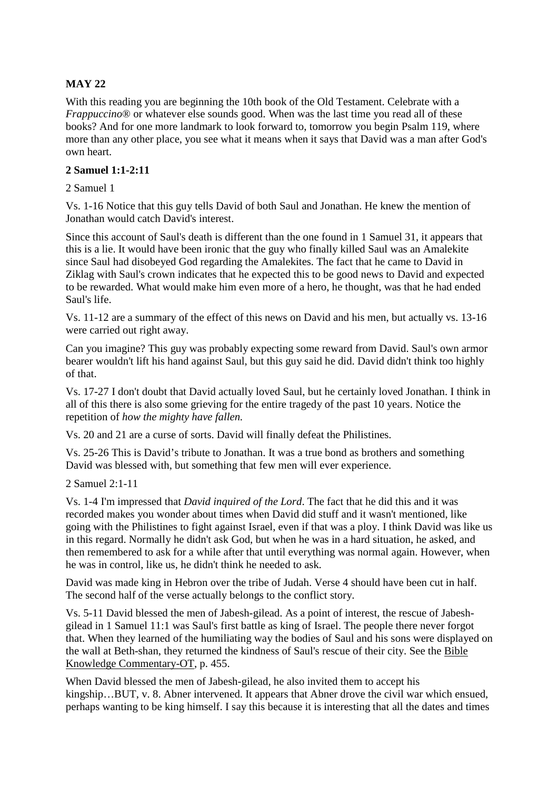# **MAY 22**

With this reading you are beginning the 10th book of the Old Testament. Celebrate with a *Frappuccino*<sup>®</sup> or whatever else sounds good. When was the last time you read all of these books? And for one more landmark to look forward to, tomorrow you begin Psalm 119, where more than any other place, you see what it means when it says that David was a man after God's own heart.

# **2 Samuel 1:1-2:11**

# 2 Samuel 1

Vs. 1-16 Notice that this guy tells David of both Saul and Jonathan. He knew the mention of Jonathan would catch David's interest.

Since this account of Saul's death is different than the one found in 1 Samuel 31, it appears that this is a lie. It would have been ironic that the guy who finally killed Saul was an Amalekite since Saul had disobeyed God regarding the Amalekites. The fact that he came to David in Ziklag with Saul's crown indicates that he expected this to be good news to David and expected to be rewarded. What would make him even more of a hero, he thought, was that he had ended Saul's life.

Vs. 11-12 are a summary of the effect of this news on David and his men, but actually vs. 13-16 were carried out right away.

Can you imagine? This guy was probably expecting some reward from David. Saul's own armor bearer wouldn't lift his hand against Saul, but this guy said he did. David didn't think too highly of that.

Vs. 17-27 I don't doubt that David actually loved Saul, but he certainly loved Jonathan. I think in all of this there is also some grieving for the entire tragedy of the past 10 years. Notice the repetition of *how the mighty have fallen.*

Vs. 20 and 21 are a curse of sorts. David will finally defeat the Philistines.

Vs. 25-26 This is David's tribute to Jonathan. It was a true bond as brothers and something David was blessed with, but something that few men will ever experience.

#### 2 Samuel 2:1-11

Vs. 1-4 I'm impressed that *David inquired of the Lord*. The fact that he did this and it was recorded makes you wonder about times when David did stuff and it wasn't mentioned, like going with the Philistines to fight against Israel, even if that was a ploy. I think David was like us in this regard. Normally he didn't ask God, but when he was in a hard situation, he asked, and then remembered to ask for a while after that until everything was normal again. However, when he was in control, like us, he didn't think he needed to ask.

David was made king in Hebron over the tribe of Judah. Verse 4 should have been cut in half. The second half of the verse actually belongs to the conflict story.

Vs. 5-11 David blessed the men of Jabesh-gilead. As a point of interest, the rescue of Jabeshgilead in 1 Samuel 11:1 was Saul's first battle as king of Israel. The people there never forgot that. When they learned of the humiliating way the bodies of Saul and his sons were displayed on the wall at Beth-shan, they returned the kindness of Saul's rescue of their city. See the Bible Knowledge Commentary-OT, p. 455.

When David blessed the men of Jabesh-gilead, he also invited them to accept his kingship…BUT, v. 8. Abner intervened. It appears that Abner drove the civil war which ensued, perhaps wanting to be king himself. I say this because it is interesting that all the dates and times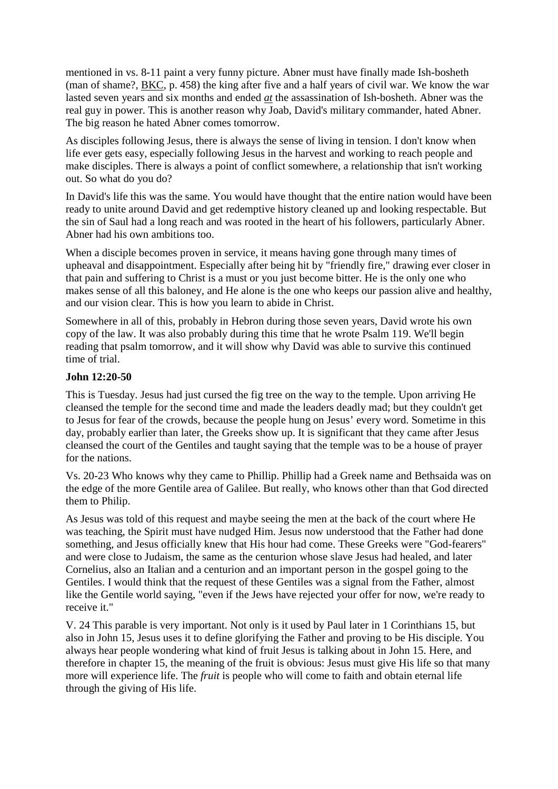mentioned in vs. 8-11 paint a very funny picture. Abner must have finally made Ish-bosheth (man of shame?, BKC, p. 458) the king after five and a half years of civil war. We know the war lasted seven years and six months and ended *at* the assassination of Ish-bosheth. Abner was the real guy in power. This is another reason why Joab, David's military commander, hated Abner. The big reason he hated Abner comes tomorrow.

As disciples following Jesus, there is always the sense of living in tension. I don't know when life ever gets easy, especially following Jesus in the harvest and working to reach people and make disciples. There is always a point of conflict somewhere, a relationship that isn't working out. So what do you do?

In David's life this was the same. You would have thought that the entire nation would have been ready to unite around David and get redemptive history cleaned up and looking respectable. But the sin of Saul had a long reach and was rooted in the heart of his followers, particularly Abner. Abner had his own ambitions too.

When a disciple becomes proven in service, it means having gone through many times of upheaval and disappointment. Especially after being hit by "friendly fire," drawing ever closer in that pain and suffering to Christ is a must or you just become bitter. He is the only one who makes sense of all this baloney, and He alone is the one who keeps our passion alive and healthy, and our vision clear. This is how you learn to abide in Christ.

Somewhere in all of this, probably in Hebron during those seven years, David wrote his own copy of the law. It was also probably during this time that he wrote Psalm 119. We'll begin reading that psalm tomorrow, and it will show why David was able to survive this continued time of trial.

# **John 12:20-50**

This is Tuesday. Jesus had just cursed the fig tree on the way to the temple. Upon arriving He cleansed the temple for the second time and made the leaders deadly mad; but they couldn't get to Jesus for fear of the crowds, because the people hung on Jesus' every word. Sometime in this day, probably earlier than later, the Greeks show up. It is significant that they came after Jesus cleansed the court of the Gentiles and taught saying that the temple was to be a house of prayer for the nations.

Vs. 20-23 Who knows why they came to Phillip. Phillip had a Greek name and Bethsaida was on the edge of the more Gentile area of Galilee. But really, who knows other than that God directed them to Philip.

As Jesus was told of this request and maybe seeing the men at the back of the court where He was teaching, the Spirit must have nudged Him. Jesus now understood that the Father had done something, and Jesus officially knew that His hour had come. These Greeks were "God-fearers" and were close to Judaism, the same as the centurion whose slave Jesus had healed, and later Cornelius, also an Italian and a centurion and an important person in the gospel going to the Gentiles. I would think that the request of these Gentiles was a signal from the Father, almost like the Gentile world saying, "even if the Jews have rejected your offer for now, we're ready to receive it."

V. 24 This parable is very important. Not only is it used by Paul later in 1 Corinthians 15, but also in John 15, Jesus uses it to define glorifying the Father and proving to be His disciple. You always hear people wondering what kind of fruit Jesus is talking about in John 15. Here, and therefore in chapter 15, the meaning of the fruit is obvious: Jesus must give His life so that many more will experience life. The *fruit* is people who will come to faith and obtain eternal life through the giving of His life.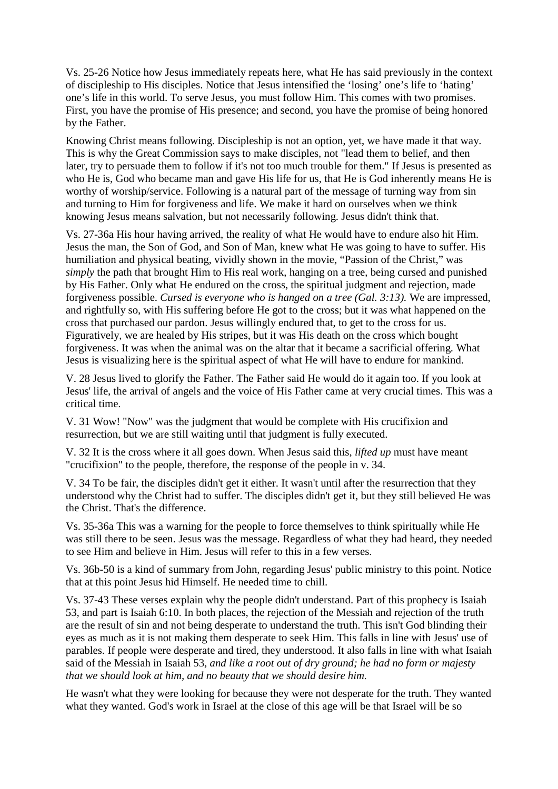Vs. 25-26 Notice how Jesus immediately repeats here, what He has said previously in the context of discipleship to His disciples. Notice that Jesus intensified the 'losing' one's life to 'hating' one's life in this world. To serve Jesus, you must follow Him. This comes with two promises. First, you have the promise of His presence; and second, you have the promise of being honored by the Father.

Knowing Christ means following. Discipleship is not an option, yet, we have made it that way. This is why the Great Commission says to make disciples, not "lead them to belief, and then later, try to persuade them to follow if it's not too much trouble for them." If Jesus is presented as who He is, God who became man and gave His life for us, that He is God inherently means He is worthy of worship/service. Following is a natural part of the message of turning way from sin and turning to Him for forgiveness and life. We make it hard on ourselves when we think knowing Jesus means salvation, but not necessarily following. Jesus didn't think that.

Vs. 27-36a His hour having arrived, the reality of what He would have to endure also hit Him. Jesus the man, the Son of God, and Son of Man, knew what He was going to have to suffer. His humiliation and physical beating, vividly shown in the movie, "Passion of the Christ," was *simply* the path that brought Him to His real work, hanging on a tree, being cursed and punished by His Father. Only what He endured on the cross, the spiritual judgment and rejection, made forgiveness possible. *Cursed is everyone who is hanged on a tree (Gal. 3:13).* We are impressed, and rightfully so, with His suffering before He got to the cross; but it was what happened on the cross that purchased our pardon. Jesus willingly endured that, to get to the cross for us. Figuratively, we are healed by His stripes, but it was His death on the cross which bought forgiveness. It was when the animal was on the altar that it became a sacrificial offering. What Jesus is visualizing here is the spiritual aspect of what He will have to endure for mankind.

V. 28 Jesus lived to glorify the Father. The Father said He would do it again too. If you look at Jesus' life, the arrival of angels and the voice of His Father came at very crucial times. This was a critical time.

V. 31 Wow! "Now" was the judgment that would be complete with His crucifixion and resurrection, but we are still waiting until that judgment is fully executed.

V. 32 It is the cross where it all goes down. When Jesus said this, *lifted up* must have meant "crucifixion" to the people, therefore, the response of the people in v. 34.

V. 34 To be fair, the disciples didn't get it either. It wasn't until after the resurrection that they understood why the Christ had to suffer. The disciples didn't get it, but they still believed He was the Christ. That's the difference.

Vs. 35-36a This was a warning for the people to force themselves to think spiritually while He was still there to be seen. Jesus was the message. Regardless of what they had heard, they needed to see Him and believe in Him. Jesus will refer to this in a few verses.

Vs. 36b-50 is a kind of summary from John, regarding Jesus' public ministry to this point. Notice that at this point Jesus hid Himself. He needed time to chill.

Vs. 37-43 These verses explain why the people didn't understand. Part of this prophecy is Isaiah 53, and part is Isaiah 6:10. In both places, the rejection of the Messiah and rejection of the truth are the result of sin and not being desperate to understand the truth. This isn't God blinding their eyes as much as it is not making them desperate to seek Him. This falls in line with Jesus' use of parables. If people were desperate and tired, they understood. It also falls in line with what Isaiah said of the Messiah in Isaiah 53, *and like a root out of dry ground; he had no form or majesty that we should look at him, and no beauty that we should desire him.*

He wasn't what they were looking for because they were not desperate for the truth. They wanted what they wanted. God's work in Israel at the close of this age will be that Israel will be so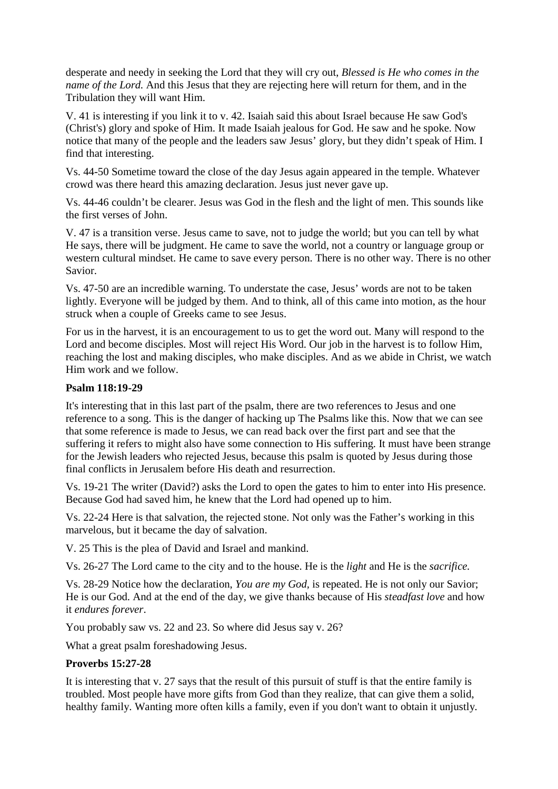desperate and needy in seeking the Lord that they will cry out, *Blessed is He who comes in the name of the Lord.* And this Jesus that they are rejecting here will return for them, and in the Tribulation they will want Him.

V. 41 is interesting if you link it to v. 42. Isaiah said this about Israel because He saw God's (Christ's) glory and spoke of Him. It made Isaiah jealous for God. He saw and he spoke. Now notice that many of the people and the leaders saw Jesus' glory, but they didn't speak of Him. I find that interesting.

Vs. 44-50 Sometime toward the close of the day Jesus again appeared in the temple. Whatever crowd was there heard this amazing declaration. Jesus just never gave up.

Vs. 44-46 couldn't be clearer. Jesus was God in the flesh and the light of men. This sounds like the first verses of John.

V. 47 is a transition verse. Jesus came to save, not to judge the world; but you can tell by what He says, there will be judgment. He came to save the world, not a country or language group or western cultural mindset. He came to save every person. There is no other way. There is no other Savior.

Vs. 47-50 are an incredible warning. To understate the case, Jesus' words are not to be taken lightly. Everyone will be judged by them. And to think, all of this came into motion, as the hour struck when a couple of Greeks came to see Jesus.

For us in the harvest, it is an encouragement to us to get the word out. Many will respond to the Lord and become disciples. Most will reject His Word. Our job in the harvest is to follow Him, reaching the lost and making disciples, who make disciples. And as we abide in Christ, we watch Him work and we follow.

#### **Psalm 118:19-29**

It's interesting that in this last part of the psalm, there are two references to Jesus and one reference to a song. This is the danger of hacking up The Psalms like this. Now that we can see that some reference is made to Jesus, we can read back over the first part and see that the suffering it refers to might also have some connection to His suffering. It must have been strange for the Jewish leaders who rejected Jesus, because this psalm is quoted by Jesus during those final conflicts in Jerusalem before His death and resurrection.

Vs. 19-21 The writer (David?) asks the Lord to open the gates to him to enter into His presence. Because God had saved him, he knew that the Lord had opened up to him.

Vs. 22-24 Here is that salvation, the rejected stone. Not only was the Father's working in this marvelous, but it became the day of salvation.

V. 25 This is the plea of David and Israel and mankind.

Vs. 26-27 The Lord came to the city and to the house. He is the *light* and He is the *sacrifice.*

Vs. 28-29 Notice how the declaration, *You are my God,* is repeated. He is not only our Savior; He is our God. And at the end of the day, we give thanks because of His *steadfast love* and how it *endures forever*.

You probably saw vs. 22 and 23. So where did Jesus say v. 26?

What a great psalm foreshadowing Jesus.

# **Proverbs 15:27-28**

It is interesting that v. 27 says that the result of this pursuit of stuff is that the entire family is troubled. Most people have more gifts from God than they realize, that can give them a solid, healthy family. Wanting more often kills a family, even if you don't want to obtain it unjustly.